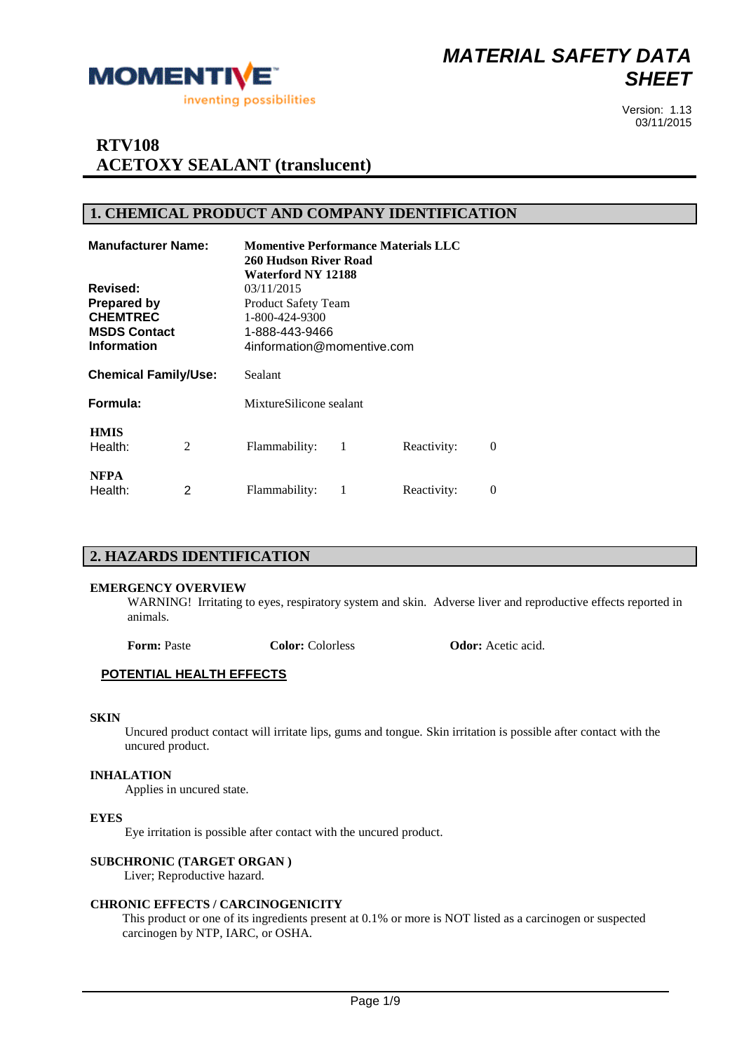

## **RTV108 ACETOXY SEALANT (translucent)**

#### **1. CHEMICAL PRODUCT AND COMPANY IDENTIFICATION**

| <b>Manufacturer Name:</b>                                                                      |   | 260 Hudson River Road<br>Waterford NY 12188                                                                |    | <b>Momentive Performance Materials LLC</b> |          |
|------------------------------------------------------------------------------------------------|---|------------------------------------------------------------------------------------------------------------|----|--------------------------------------------|----------|
| Revised:<br><b>Prepared by</b><br><b>CHEMTREC</b><br><b>MSDS Contact</b><br><b>Information</b> |   | 03/11/2015<br><b>Product Safety Team</b><br>1-800-424-9300<br>1-888-443-9466<br>4information@momentive.com |    |                                            |          |
| <b>Chemical Family/Use:</b>                                                                    |   | Sealant                                                                                                    |    |                                            |          |
| Formula:                                                                                       |   | MixtureSilicone sealant                                                                                    |    |                                            |          |
| <b>HMIS</b><br>Health:                                                                         | 2 | Flammability:                                                                                              | -1 | Reactivity:                                | $\Omega$ |
| <b>NFPA</b><br>Health:                                                                         | 2 | Flammability:                                                                                              |    | Reactivity:                                | $\theta$ |

#### **2. HAZARDS IDENTIFICATION**

#### **EMERGENCY OVERVIEW**

WARNING! Irritating to eyes, respiratory system and skin. Adverse liver and reproductive effects reported in animals.

**Form:** Paste **Color: Color: Colorless Odor:** Acetic acid.

#### **POTENTIAL HEALTH EFFECTS**

#### **SKIN**

Uncured product contact will irritate lips, gums and tongue. Skin irritation is possible after contact with the uncured product.

#### **INHALATION**

Applies in uncured state.

#### **EYES**

Eye irritation is possible after contact with the uncured product.

#### **SUBCHRONIC (TARGET ORGAN )**

Liver; Reproductive hazard.

#### **CHRONIC EFFECTS / CARCINOGENICITY**

This product or one of its ingredients present at 0.1% or more is NOT listed as a carcinogen or suspected carcinogen by NTP, IARC, or OSHA.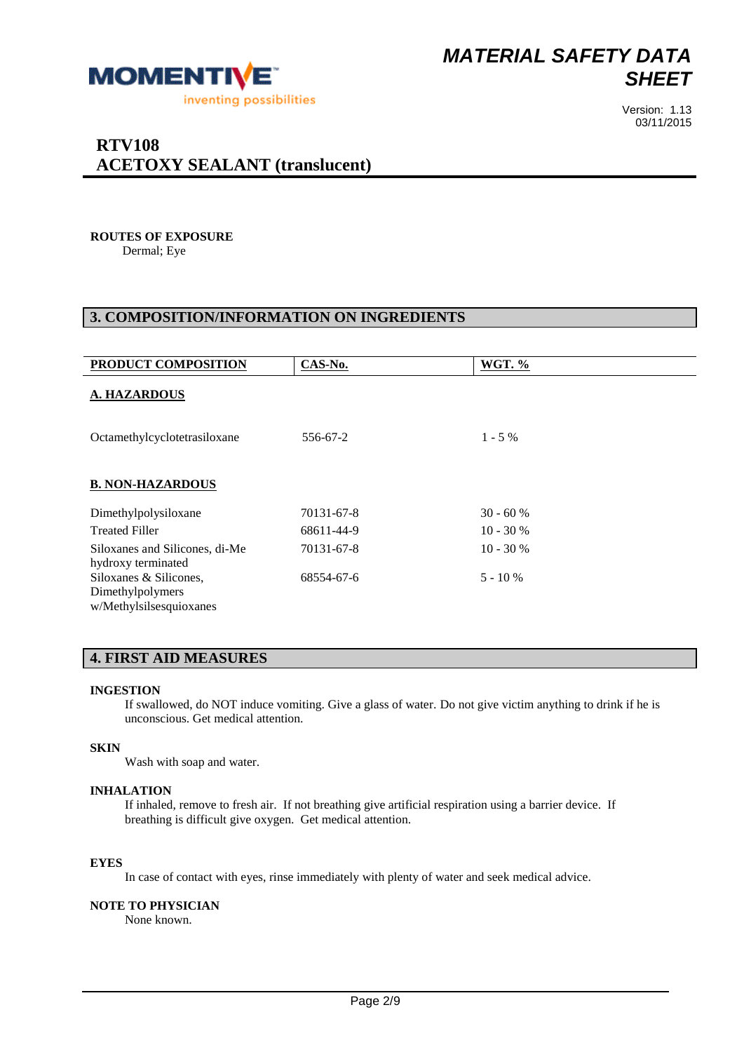

## Version: 1.13 03/11/2015

## **ROUTES OF EXPOSURE**

Dermal; Eye

### **3. COMPOSITION/INFORMATION ON INGREDIENTS**

| PRODUCT COMPOSITION                                                   | CAS-No.    | <b>WGT. %</b> |
|-----------------------------------------------------------------------|------------|---------------|
| <b>A. HAZARDOUS</b>                                                   |            |               |
| Octamethylcyclotetrasiloxane                                          | 556-67-2   | $1 - 5\%$     |
| <b>B. NON-HAZARDOUS</b>                                               |            |               |
| Dimethylpolysiloxane                                                  | 70131-67-8 | $30 - 60%$    |
| <b>Treated Filler</b>                                                 | 68611-44-9 | $10 - 30%$    |
| Siloxanes and Silicones, di-Me<br>hydroxy terminated                  | 70131-67-8 | $10 - 30 %$   |
| Siloxanes & Silicones,<br>Dimethylpolymers<br>w/Methylsilsesquioxanes | 68554-67-6 | $5 - 10%$     |

### **4. FIRST AID MEASURES**

#### **INGESTION**

If swallowed, do NOT induce vomiting. Give a glass of water. Do not give victim anything to drink if he is unconscious. Get medical attention.

#### **SKIN**

Wash with soap and water.

#### **INHALATION**

If inhaled, remove to fresh air. If not breathing give artificial respiration using a barrier device. If breathing is difficult give oxygen. Get medical attention.

#### **EYES**

In case of contact with eyes, rinse immediately with plenty of water and seek medical advice.

#### **NOTE TO PHYSICIAN**

None known.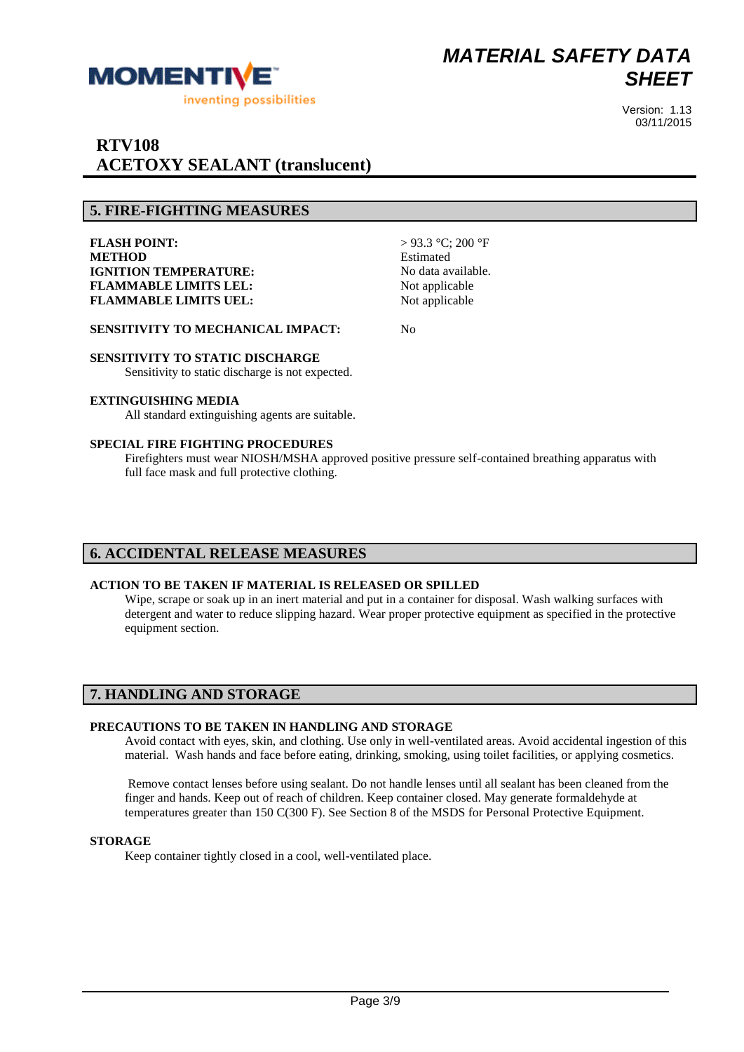

#### **5. FIRE-FIGHTING MEASURES**

**FLASH POINT:** > 93.3 °C; 200 °F **METHOD** Estimated **IGNITION TEMPERATURE:** No data available. **FLAMMABLE LIMITS LEL:** Not applicable **FLAMMABLE LIMITS UEL:** Not applicable

**SENSITIVITY TO MECHANICAL IMPACT:** No

## **SENSITIVITY TO STATIC DISCHARGE**

Sensitivity to static discharge is not expected.

#### **EXTINGUISHING MEDIA**

All standard extinguishing agents are suitable.

#### **SPECIAL FIRE FIGHTING PROCEDURES**

Firefighters must wear NIOSH/MSHA approved positive pressure self-contained breathing apparatus with full face mask and full protective clothing.

#### **6. ACCIDENTAL RELEASE MEASURES**

#### **ACTION TO BE TAKEN IF MATERIAL IS RELEASED OR SPILLED**

Wipe, scrape or soak up in an inert material and put in a container for disposal. Wash walking surfaces with detergent and water to reduce slipping hazard. Wear proper protective equipment as specified in the protective equipment section.

#### **7. HANDLING AND STORAGE**

#### **PRECAUTIONS TO BE TAKEN IN HANDLING AND STORAGE**

Avoid contact with eyes, skin, and clothing. Use only in well-ventilated areas. Avoid accidental ingestion of this material. Wash hands and face before eating, drinking, smoking, using toilet facilities, or applying cosmetics.

Remove contact lenses before using sealant. Do not handle lenses until all sealant has been cleaned from the finger and hands. Keep out of reach of children. Keep container closed. May generate formaldehyde at temperatures greater than 150 C(300 F). See Section 8 of the MSDS for Personal Protective Equipment.

#### **STORAGE**

Keep container tightly closed in a cool, well-ventilated place.

Version: 1.13 03/11/2015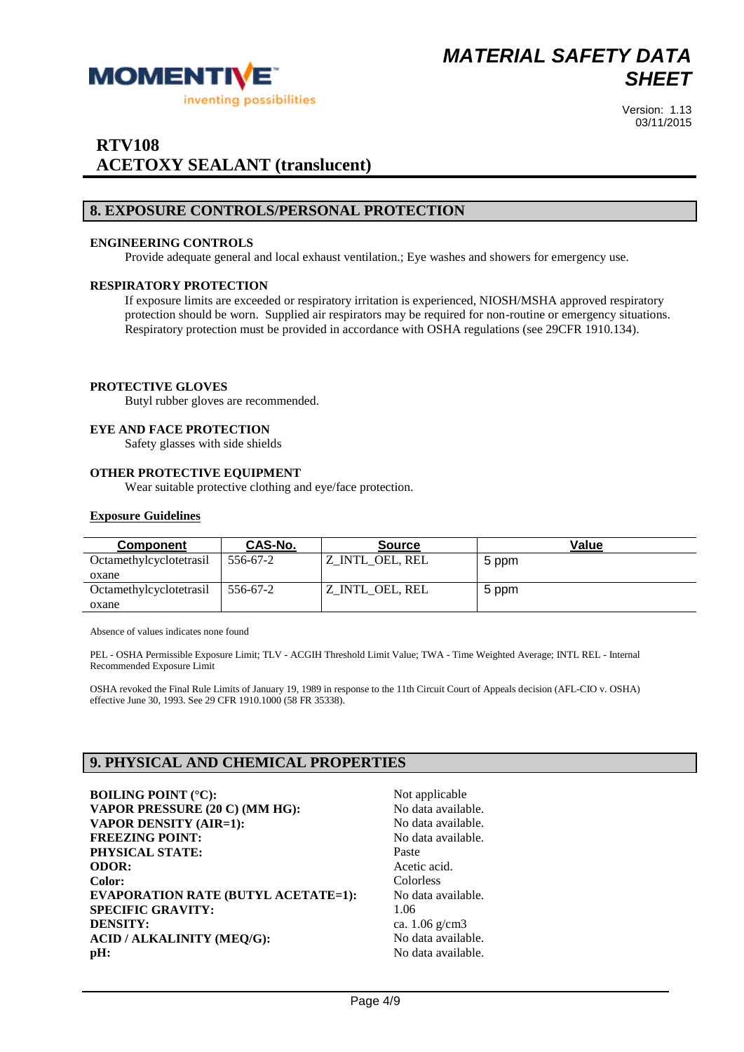

## **RTV108 ACETOXY SEALANT (translucent)**

#### **8. EXPOSURE CONTROLS/PERSONAL PROTECTION**

#### **ENGINEERING CONTROLS**

Provide adequate general and local exhaust ventilation.; Eye washes and showers for emergency use.

#### **RESPIRATORY PROTECTION**

If exposure limits are exceeded or respiratory irritation is experienced, NIOSH/MSHA approved respiratory protection should be worn. Supplied air respirators may be required for non-routine or emergency situations. Respiratory protection must be provided in accordance with OSHA regulations (see 29CFR 1910.134).

#### **PROTECTIVE GLOVES**

Butyl rubber gloves are recommended.

#### **EYE AND FACE PROTECTION**

Safety glasses with side shields

#### **OTHER PROTECTIVE EQUIPMENT**

Wear suitable protective clothing and eve/face protection.

#### **Exposure Guidelines**

| <b>Component</b>                      | <b>CAS-No.</b> | <b>Source</b>   | Value |
|---------------------------------------|----------------|-----------------|-------|
| <i><b>Octamethylcyclotetrasil</b></i> | 556-67-2       | Z INTL OEL, REL | 5 ppm |
| oxane                                 |                |                 |       |
| Octamethylcyclotetrasil               | 556-67-2       | Z_INTL_OEL, REL | 5 ppm |
| oxane                                 |                |                 |       |

Absence of values indicates none found

PEL - OSHA Permissible Exposure Limit; TLV - ACGIH Threshold Limit Value; TWA - Time Weighted Average; INTL REL - Internal Recommended Exposure Limit

OSHA revoked the Final Rule Limits of January 19, 1989 in response to the 11th Circuit Court of Appeals decision (AFL-CIO v. OSHA) effective June 30, 1993. See 29 CFR 1910.1000 (58 FR 35338).

#### **9. PHYSICAL AND CHEMICAL PROPERTIES**

**BOILING POINT** (°C): Not applicable **VAPOR PRESSURE (20 C) (MM HG):** No data available. **VAPOR DENSITY (AIR=1):** No data available. **FREEZING POINT:** No data available. PHYSICAL STATE: Paste **ODOR:** Acetic acid. **Color:** Colorless **EVAPORATION RATE (BUTYL ACETATE=1):** No data available. **SPECIFIC GRAVITY:** 1.06 **DENSITY:** ca. 1.06 g/cm3 **ACID / ALKALINITY (MEO/G):** No data available. **pH:** No data available.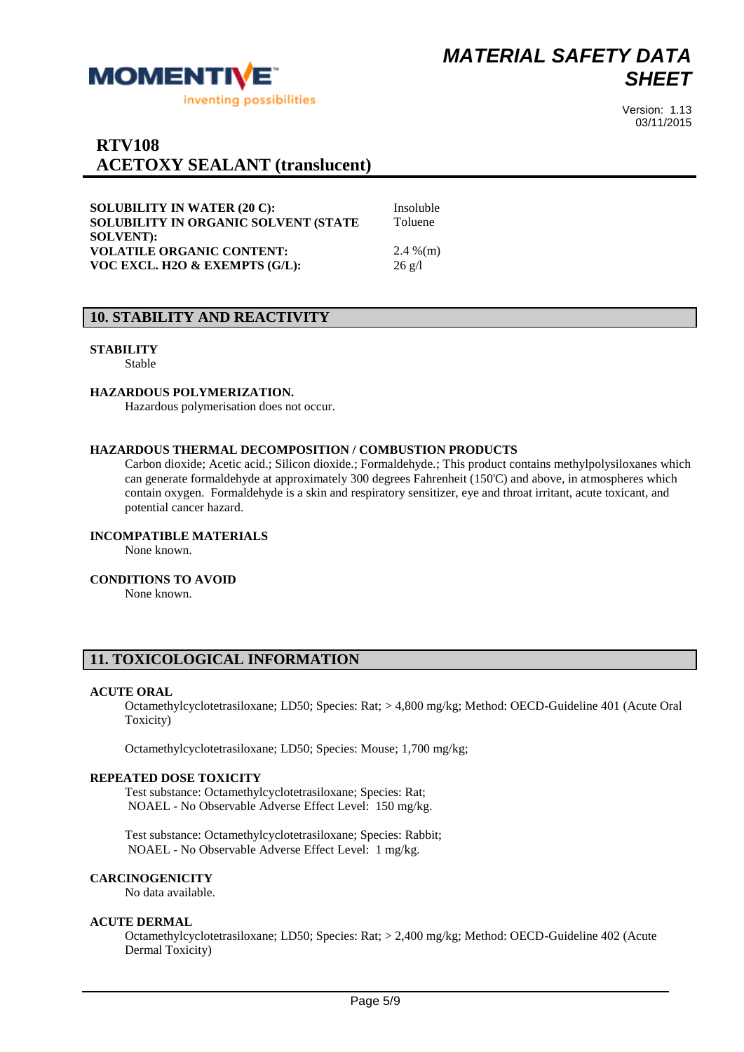

## **RTV108 ACETOXY SEALANT (translucent)**

**SOLUBILITY IN WATER (20 C):** Insoluble **SOLUBILITY IN ORGANIC SOLVENT (STATE SOLVENT): VOLATILE ORGANIC CONTENT:** 2.4 %(m) **VOC EXCL. H2O & EXEMPTS (G/L):** 26 g/l

# Toluene

### **10. STABILITY AND REACTIVITY**

#### **STABILITY**

Stable

#### **HAZARDOUS POLYMERIZATION.**

Hazardous polymerisation does not occur.

#### **HAZARDOUS THERMAL DECOMPOSITION / COMBUSTION PRODUCTS**

Carbon dioxide; Acetic acid.; Silicon dioxide.; Formaldehyde.; This product contains methylpolysiloxanes which can generate formaldehyde at approximately 300 degrees Fahrenheit (150'C) and above, in atmospheres which contain oxygen. Formaldehyde is a skin and respiratory sensitizer, eye and throat irritant, acute toxicant, and potential cancer hazard.

#### **INCOMPATIBLE MATERIALS**

None known.

#### **CONDITIONS TO AVOID**

None known.

#### **11. TOXICOLOGICAL INFORMATION**

#### **ACUTE ORAL**

Octamethylcyclotetrasiloxane; LD50; Species: Rat; > 4,800 mg/kg; Method: OECD-Guideline 401 (Acute Oral Toxicity)

Octamethylcyclotetrasiloxane; LD50; Species: Mouse; 1,700 mg/kg;

#### **REPEATED DOSE TOXICITY**

Test substance: Octamethylcyclotetrasiloxane; Species: Rat; NOAEL - No Observable Adverse Effect Level: 150 mg/kg.

Test substance: Octamethylcyclotetrasiloxane; Species: Rabbit; NOAEL - No Observable Adverse Effect Level: 1 mg/kg.

#### **CARCINOGENICITY**

No data available.

#### **ACUTE DERMAL**

Octamethylcyclotetrasiloxane; LD50; Species: Rat; > 2,400 mg/kg; Method: OECD-Guideline 402 (Acute Dermal Toxicity)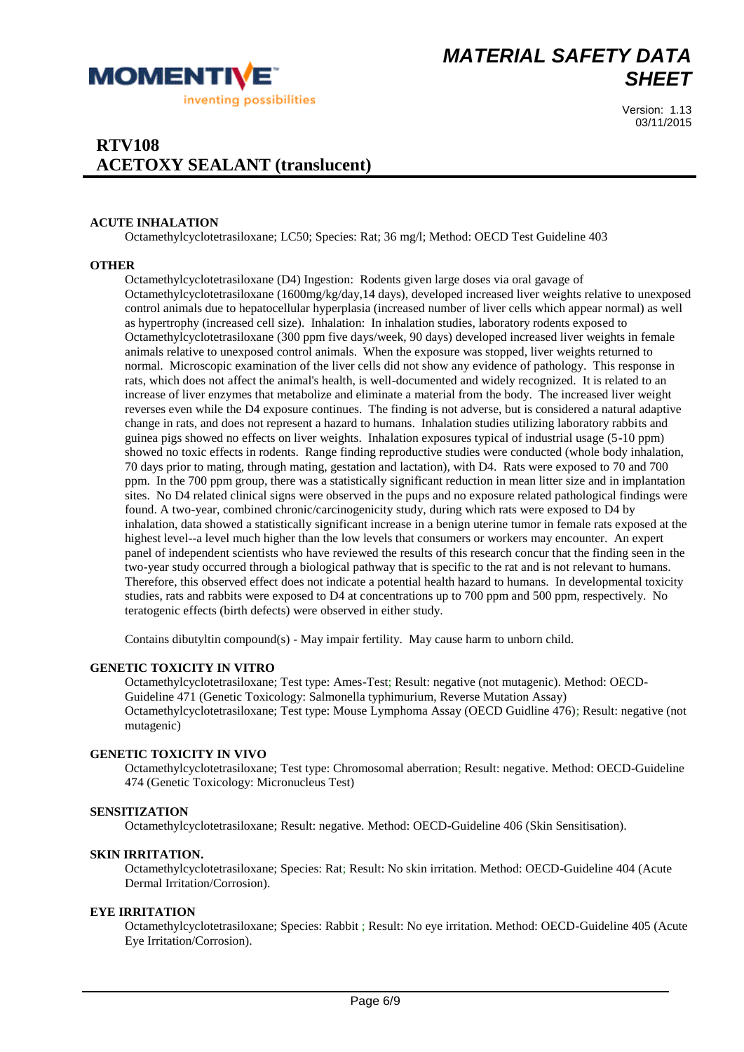

Version: 1.13 03/11/2015

#### **ACUTE INHALATION**

Octamethylcyclotetrasiloxane; LC50; Species: Rat; 36 mg/l; Method: OECD Test Guideline 403

#### **OTHER**

Octamethylcyclotetrasiloxane (D4) Ingestion: Rodents given large doses via oral gavage of Octamethylcyclotetrasiloxane (1600mg/kg/day,14 days), developed increased liver weights relative to unexposed control animals due to hepatocellular hyperplasia (increased number of liver cells which appear normal) as well as hypertrophy (increased cell size). Inhalation: In inhalation studies, laboratory rodents exposed to Octamethylcyclotetrasiloxane (300 ppm five days/week, 90 days) developed increased liver weights in female animals relative to unexposed control animals. When the exposure was stopped, liver weights returned to normal. Microscopic examination of the liver cells did not show any evidence of pathology. This response in rats, which does not affect the animal's health, is well-documented and widely recognized. It is related to an increase of liver enzymes that metabolize and eliminate a material from the body. The increased liver weight reverses even while the D4 exposure continues. The finding is not adverse, but is considered a natural adaptive change in rats, and does not represent a hazard to humans. Inhalation studies utilizing laboratory rabbits and guinea pigs showed no effects on liver weights. Inhalation exposures typical of industrial usage (5-10 ppm) showed no toxic effects in rodents. Range finding reproductive studies were conducted (whole body inhalation, 70 days prior to mating, through mating, gestation and lactation), with D4. Rats were exposed to 70 and 700 ppm. In the 700 ppm group, there was a statistically significant reduction in mean litter size and in implantation sites. No D4 related clinical signs were observed in the pups and no exposure related pathological findings were found. A two-year, combined chronic/carcinogenicity study, during which rats were exposed to D4 by inhalation, data showed a statistically significant increase in a benign uterine tumor in female rats exposed at the highest level--a level much higher than the low levels that consumers or workers may encounter. An expert panel of independent scientists who have reviewed the results of this research concur that the finding seen in the two-year study occurred through a biological pathway that is specific to the rat and is not relevant to humans. Therefore, this observed effect does not indicate a potential health hazard to humans. In developmental toxicity studies, rats and rabbits were exposed to D4 at concentrations up to 700 ppm and 500 ppm, respectively. No teratogenic effects (birth defects) were observed in either study.

Contains dibutyltin compound(s) - May impair fertility. May cause harm to unborn child.

#### **GENETIC TOXICITY IN VITRO**

Octamethylcyclotetrasiloxane; Test type: Ames-Test; Result: negative (not mutagenic). Method: OECD-Guideline 471 (Genetic Toxicology: Salmonella typhimurium, Reverse Mutation Assay) Octamethylcyclotetrasiloxane; Test type: Mouse Lymphoma Assay (OECD Guidline 476); Result: negative (not mutagenic)

#### **GENETIC TOXICITY IN VIVO**

Octamethylcyclotetrasiloxane; Test type: Chromosomal aberration; Result: negative. Method: OECD-Guideline 474 (Genetic Toxicology: Micronucleus Test)

#### **SENSITIZATION**

Octamethylcyclotetrasiloxane; Result: negative. Method: OECD-Guideline 406 (Skin Sensitisation).

#### **SKIN IRRITATION.**

Octamethylcyclotetrasiloxane; Species: Rat; Result: No skin irritation. Method: OECD-Guideline 404 (Acute Dermal Irritation/Corrosion).

#### **EYE IRRITATION**

Octamethylcyclotetrasiloxane; Species: Rabbit ; Result: No eye irritation. Method: OECD-Guideline 405 (Acute Eye Irritation/Corrosion).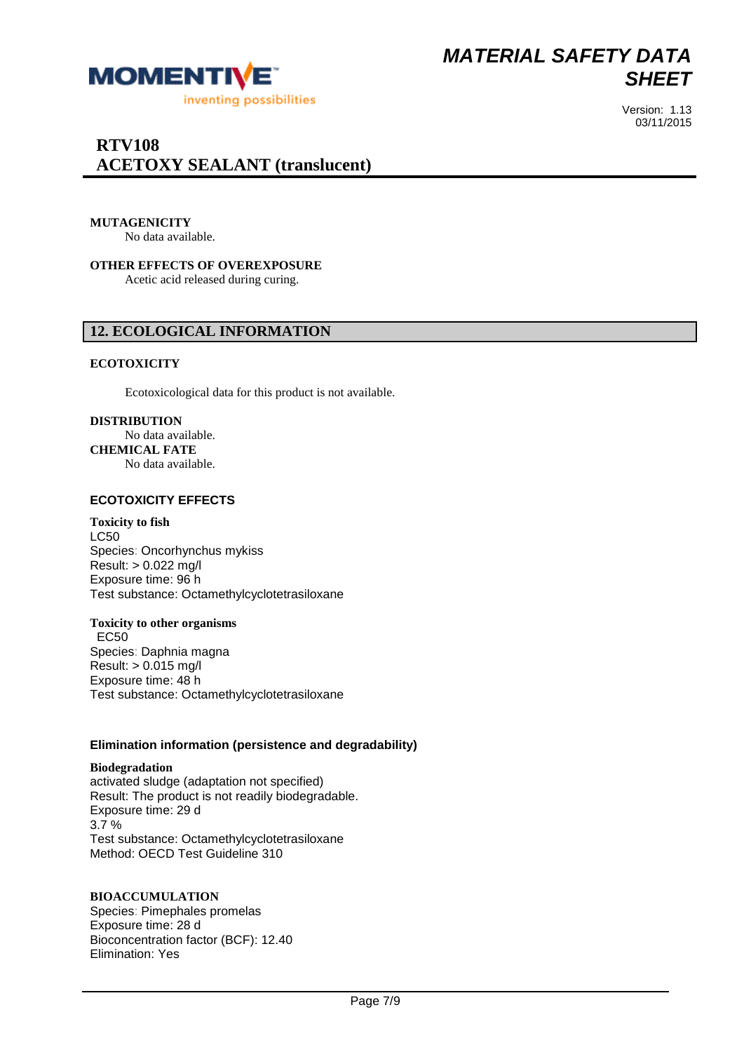

Version: 1.13 03/11/2015

#### **MUTAGENICITY**

No data available.

**OTHER EFFECTS OF OVEREXPOSURE** Acetic acid released during curing.

#### **12. ECOLOGICAL INFORMATION**

#### **ECOTOXICITY**

Ecotoxicological data for this product is not available.

#### **DISTRIBUTION**

No data available. **CHEMICAL FATE** No data available.

#### **ECOTOXICITY EFFECTS**

#### **Toxicity to fish**

LC50 Species: Oncorhynchus mykiss Result: > 0.022 mg/l Exposure time: 96 h Test substance: Octamethylcyclotetrasiloxane

## **Toxicity to other organisms**

 EC50 Species: Daphnia magna Result: > 0.015 mg/l Exposure time: 48 h Test substance: Octamethylcyclotetrasiloxane

#### **Elimination information (persistence and degradability)**

**Biodegradation** activated sludge (adaptation not specified) Result: The product is not readily biodegradable. Exposure time: 29 d 3.7 % Test substance: Octamethylcyclotetrasiloxane Method: OECD Test Guideline 310

#### **BIOACCUMULATION**

Species: Pimephales promelas Exposure time: 28 d Bioconcentration factor (BCF): 12.40 Elimination: Yes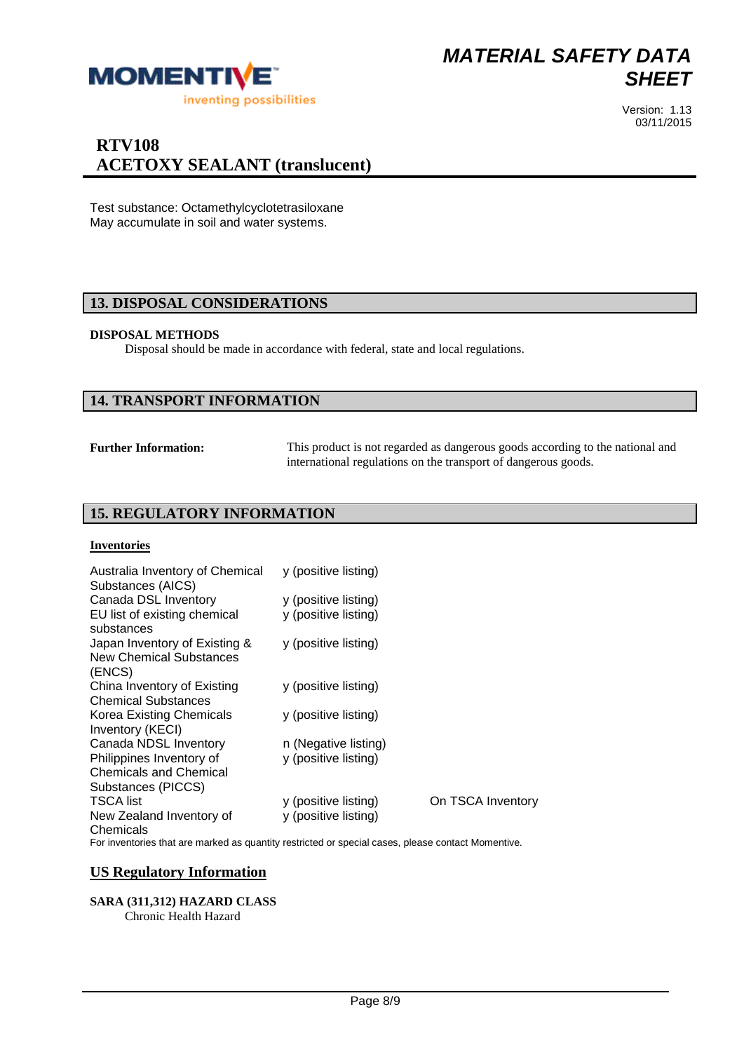

## **RTV108 ACETOXY SEALANT (translucent)**

Test substance: Octamethylcyclotetrasiloxane May accumulate in soil and water systems.

#### **13. DISPOSAL CONSIDERATIONS**

#### **DISPOSAL METHODS**

Disposal should be made in accordance with federal, state and local regulations.

#### **14. TRANSPORT INFORMATION**

**Further Information:** This product is not regarded as dangerous goods according to the national and international regulations on the transport of dangerous goods.

## **15. REGULATORY INFORMATION**

#### **Inventories**

| Australia Inventory of Chemical<br>Substances (AICS) | y (positive listing) |                   |
|------------------------------------------------------|----------------------|-------------------|
| Canada DSL Inventory                                 | y (positive listing) |                   |
| EU list of existing chemical<br>substances           | y (positive listing) |                   |
| Japan Inventory of Existing &                        | y (positive listing) |                   |
| <b>New Chemical Substances</b>                       |                      |                   |
| (ENCS)                                               |                      |                   |
| China Inventory of Existing                          | y (positive listing) |                   |
| <b>Chemical Substances</b>                           |                      |                   |
| Korea Existing Chemicals<br>Inventory (KECI)         | y (positive listing) |                   |
| Canada NDSL Inventory                                | n (Negative listing) |                   |
| Philippines Inventory of                             | y (positive listing) |                   |
| <b>Chemicals and Chemical</b>                        |                      |                   |
| Substances (PICCS)                                   |                      |                   |
| <b>TSCA</b> list                                     | y (positive listing) | On TSCA Inventory |
| New Zealand Inventory of<br>Chemicals                | y (positive listing) |                   |

For inventories that are marked as quantity restricted or special cases, please contact Momentive.

#### **US Regulatory Information**

#### **SARA (311,312) HAZARD CLASS**

Chronic Health Hazard